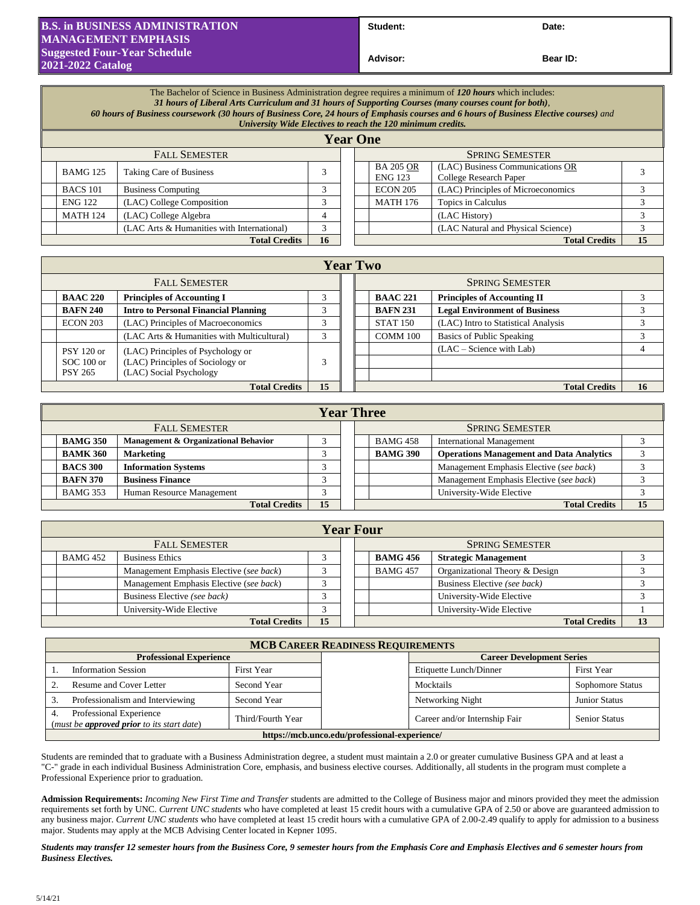## **B.S. in BUSINESS ADMINISTRATION MANAGEMENT EMPHASIS Suggested Four-Year Schedule 2021-2022 Catalog**

Student: Date:

**Advisor: Bear ID:** 

| The Bachelor of Science in Business Administration degree requires a minimum of 120 hours which includes:<br>31 hours of Liberal Arts Curriculum and 31 hours of Supporting Courses (many courses count for both),<br>60 hours of Business coursework (30 hours of Business Core, 24 hours of Emphasis courses and 6 hours of Business Elective courses) and<br>University Wide Electives to reach the 120 minimum credits. |                                            |                 |  |                        |                                    |                                                            |    |
|-----------------------------------------------------------------------------------------------------------------------------------------------------------------------------------------------------------------------------------------------------------------------------------------------------------------------------------------------------------------------------------------------------------------------------|--------------------------------------------|-----------------|--|------------------------|------------------------------------|------------------------------------------------------------|----|
|                                                                                                                                                                                                                                                                                                                                                                                                                             |                                            | <b>Year One</b> |  |                        |                                    |                                                            |    |
| <b>FALL SEMESTER</b>                                                                                                                                                                                                                                                                                                                                                                                                        |                                            |                 |  | <b>SPRING SEMESTER</b> |                                    |                                                            |    |
| <b>BAMG 125</b>                                                                                                                                                                                                                                                                                                                                                                                                             | <b>Taking Care of Business</b>             |                 |  |                        | <b>BA 205 OR</b><br><b>ENG 123</b> | (LAC) Business Communications OR<br>College Research Paper |    |
| <b>BACS</b> 101                                                                                                                                                                                                                                                                                                                                                                                                             | <b>Business Computing</b>                  | 3               |  |                        | <b>ECON 205</b>                    | (LAC) Principles of Microeconomics                         |    |
| <b>ENG 122</b>                                                                                                                                                                                                                                                                                                                                                                                                              | (LAC) College Composition                  |                 |  |                        | <b>MATH 176</b>                    | Topics in Calculus                                         |    |
| <b>MATH 124</b>                                                                                                                                                                                                                                                                                                                                                                                                             | (LAC) College Algebra                      | 4               |  |                        |                                    | (LAC History)                                              |    |
|                                                                                                                                                                                                                                                                                                                                                                                                                             | (LAC Arts & Humanities with International) | 3               |  |                        |                                    | (LAC Natural and Physical Science)                         |    |
| <b>Total Credits</b>                                                                                                                                                                                                                                                                                                                                                                                                        |                                            |                 |  |                        |                                    | <b>Total Credits</b>                                       | 15 |

| <b>Year Two</b>                   |                                                                       |            |  |                        |                 |                                      |    |
|-----------------------------------|-----------------------------------------------------------------------|------------|--|------------------------|-----------------|--------------------------------------|----|
| <b>FALL SEMESTER</b>              |                                                                       |            |  | <b>SPRING SEMESTER</b> |                 |                                      |    |
| <b>BAAC 220</b>                   | <b>Principles of Accounting I</b>                                     |            |  |                        | <b>BAAC 221</b> | <b>Principles of Accounting II</b>   |    |
| <b>BAFN 240</b>                   | <b>Intro to Personal Financial Planning</b>                           |            |  |                        | <b>BAFN 231</b> | <b>Legal Environment of Business</b> |    |
| ECON 203                          | (LAC) Principles of Macroeconomics                                    | $\sqrt{2}$ |  |                        | <b>STAT 150</b> | (LAC) Intro to Statistical Analysis  |    |
|                                   | (LAC Arts & Humanities with Multicultural)                            | $\sim$     |  |                        | COMM 100        | Basics of Public Speaking            |    |
| <b>PSY 120 or</b><br>$SOC 100$ or | (LAC) Principles of Psychology or<br>(LAC) Principles of Sociology or | 3          |  |                        |                 | $(LAC - Science with Lab)$           |    |
| <b>PSY 265</b>                    | (LAC) Social Psychology                                               |            |  |                        |                 |                                      |    |
| <b>Total Credits</b>              |                                                                       |            |  |                        |                 | <b>Total Credits</b>                 | 16 |

| <b>Year Three</b>          |                                      |  |  |  |                        |                                                 |    |
|----------------------------|--------------------------------------|--|--|--|------------------------|-------------------------------------------------|----|
| <b>FALL SEMESTER</b>       |                                      |  |  |  | <b>SPRING SEMESTER</b> |                                                 |    |
| <b>BAMG 350</b>            | Management & Organizational Behavior |  |  |  | <b>BAMG 458</b>        | <b>International Management</b>                 |    |
| <b>BAMK 360</b>            | <b>Marketing</b>                     |  |  |  | <b>BAMG 390</b>        | <b>Operations Management and Data Analytics</b> |    |
| <b>BACS 300</b>            | <b>Information Systems</b>           |  |  |  |                        | Management Emphasis Elective (see back)         |    |
| <b>BAFN 370</b>            | <b>Business Finance</b>              |  |  |  |                        | Management Emphasis Elective (see back)         |    |
| <b>BAMG 353</b>            | Human Resource Management            |  |  |  |                        | University-Wide Elective                        |    |
| 15<br><b>Total Credits</b> |                                      |  |  |  |                        | <b>Total Credits</b>                            | 15 |

|                      | <b>Year Four</b>           |                                         |  |  |  |                        |                                |  |  |
|----------------------|----------------------------|-----------------------------------------|--|--|--|------------------------|--------------------------------|--|--|
| <b>FALL SEMESTER</b> |                            |                                         |  |  |  | <b>SPRING SEMESTER</b> |                                |  |  |
|                      | <b>BAMG 452</b>            | <b>Business Ethics</b>                  |  |  |  | <b>BAMG 456</b>        | <b>Strategic Management</b>    |  |  |
|                      |                            | Management Emphasis Elective (see back) |  |  |  | <b>BAMG 457</b>        | Organizational Theory & Design |  |  |
|                      |                            | Management Emphasis Elective (see back) |  |  |  |                        | Business Elective (see back)   |  |  |
|                      |                            | Business Elective (see back)            |  |  |  |                        | University-Wide Elective       |  |  |
|                      |                            | University-Wide Elective                |  |  |  |                        | University-Wide Elective       |  |  |
|                      | 15<br><b>Total Credits</b> |                                         |  |  |  |                        | <b>Total Credits</b>           |  |  |

| <b>MCB CAREER READINESS REQUIREMENTS</b>                                           |                   |                                  |                               |                      |  |  |
|------------------------------------------------------------------------------------|-------------------|----------------------------------|-------------------------------|----------------------|--|--|
| <b>Professional Experience</b>                                                     |                   | <b>Career Development Series</b> |                               |                      |  |  |
| <b>Information Session</b>                                                         | First Year        |                                  | Etiquette Lunch/Dinner        | <b>First Year</b>    |  |  |
| Resume and Cover Letter<br>Second Year                                             |                   |                                  | Mocktails                     | Sophomore Status     |  |  |
| Professionalism and Interviewing<br>Second Year                                    |                   |                                  | Networking Night              | <b>Junior Status</b> |  |  |
| Professional Experience<br>4.<br>(must be <b>approved prior</b> to its start date) | Third/Fourth Year |                                  | Career and/or Internship Fair | <b>Senior Status</b> |  |  |
| https://mcb.unco.edu/professional-experience/                                      |                   |                                  |                               |                      |  |  |

Students are reminded that to graduate with a Business Administration degree, a student must maintain a 2.0 or greater cumulative Business GPA and at least a "C-" grade in each individual Business Administration Core, emphasis, and business elective courses. Additionally, all students in the program must complete a Professional Experience prior to graduation.

**Admission Requirements:** *Incoming New First Time and Transfer* students are admitted to the College of Business major and minors provided they meet the admission requirements set forth by UNC. *Current UNC students* who have completed at least 15 credit hours with a cumulative GPA of 2.50 or above are guaranteed admission to any business major. *Current UNC students* who have completed at least 15 credit hours with a cumulative GPA of 2.00-2.49 qualify to apply for admission to a business major. Students may apply at the MCB Advising Center located in Kepner 1095.

*Students may transfer 12 semester hours from the Business Core, 9 semester hours from the Emphasis Core and Emphasis Electives and 6 semester hours from Business Electives.*